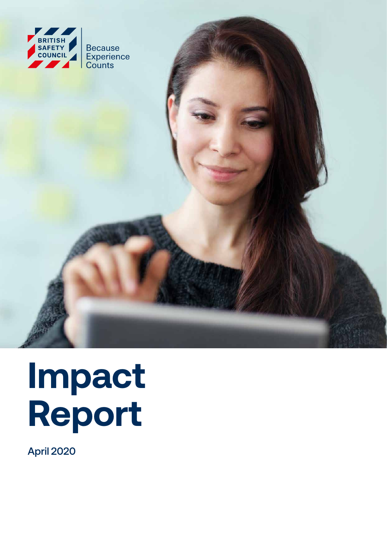

# **Impact Report**

April 2020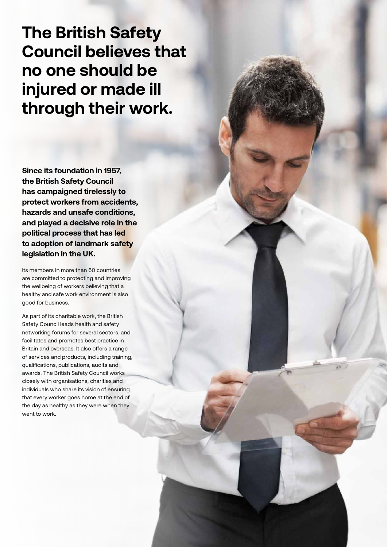**The British Safety Council believes that no one should be injured or made ill through their work.**

**Since its foundation in 1957, the British Safety Council has campaigned tirelessly to protect workers from accidents, hazards and unsafe conditions, and played a decisive role in the political process that has led to adoption of landmark safety legislation in the UK.**

Its members in more than 60 countries are committed to protecting and improving the wellbeing of workers believing that a healthy and safe work environment is also good for business.

As part of its charitable work, the British Safety Council leads health and safety networking forums for several sectors, and facilitates and promotes best practice in Britain and overseas. It also offers a range of services and products, including training, qualifications, publications, audits and awards. The British Safety Council works closely with organisations, charities and individuals who share its vision of ensuring that every worker goes home at the end of the day as healthy as they were when they went to work.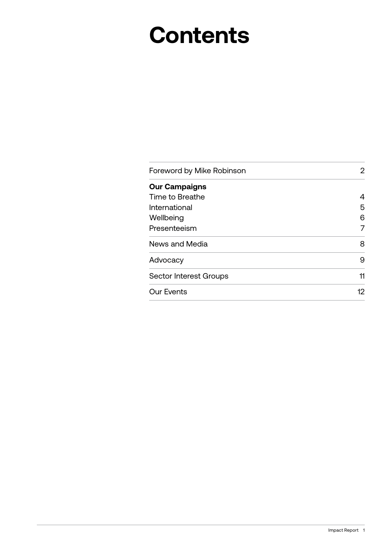## **Contents**

| Foreword by Mike Robinson     | 2  |
|-------------------------------|----|
| <b>Our Campaigns</b>          |    |
| Time to Breathe               | 4  |
| International                 | 5  |
| Wellbeing                     | 6  |
| Presenteeism                  | 7  |
| News and Media                | 8  |
| Advocacy                      | 9  |
| <b>Sector Interest Groups</b> | 11 |
| <b>Our Events</b>             | 12 |
|                               |    |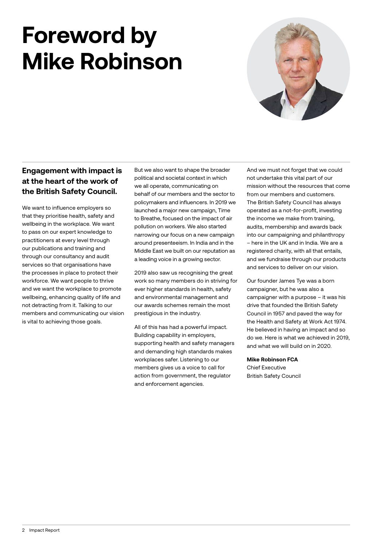## **Foreword by Mike Robinson**



#### **Engagement with impact is at the heart of the work of the British Safety Council.**

We want to influence employers so that they prioritise health, safety and wellbeing in the workplace. We want to pass on our expert knowledge to practitioners at every level through our publications and training and through our consultancy and audit services so that organisations have the processes in place to protect their workforce. We want people to thrive and we want the workplace to promote wellbeing, enhancing quality of life and not detracting from it. Talking to our members and communicating our vision is vital to achieving those goals.

But we also want to shape the broader political and societal context in which we all operate, communicating on behalf of our members and the sector to policymakers and influencers. In 2019 we launched a major new campaign, Time to Breathe, focused on the impact of air pollution on workers. We also started narrowing our focus on a new campaign around presenteeism. In India and in the Middle East we built on our reputation as a leading voice in a growing sector.

2019 also saw us recognising the great work so many members do in striving for ever higher standards in health, safety and environmental management and our awards schemes remain the most prestigious in the industry.

All of this has had a powerful impact. Building capability in employers, supporting health and safety managers and demanding high standards makes workplaces safer. Listening to our members gives us a voice to call for action from government, the regulator and enforcement agencies.

And we must not forget that we could not undertake this vital part of our mission without the resources that come from our members and customers. The British Safety Council has always operated as a not-for-profit, investing the income we make from training, audits, membership and awards back into our campaigning and philanthropy – here in the UK and in India. We are a registered charity, with all that entails, and we fundraise through our products and services to deliver on our vision.

Our founder James Tye was a born campaigner, but he was also a campaigner with a purpose – it was his drive that founded the British Safety Council in 1957 and paved the way for the Health and Safety at Work Act 1974. He believed in having an impact and so do we. Here is what we achieved in 2019, and what we will build on in 2020.

#### **Mike Robinson FCA**

Chief Executive British Safety Council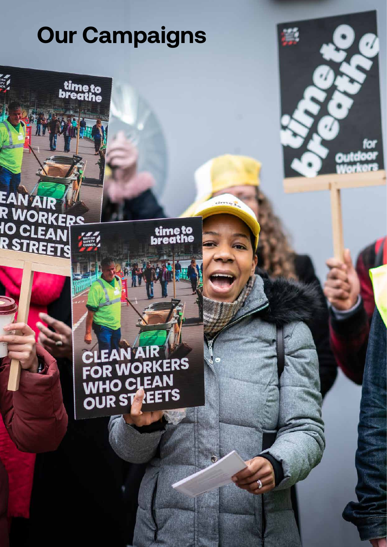time to<br>breathe

EAN AIR<br>R WORKERS<br>IO CLEAN<br>R STREETS

**EAN AIR** FOR WORKERS WHO CLEAN OUR STREETS

time to<br>breathe

 $\mathbb{R}$ 

Impact Report 3

α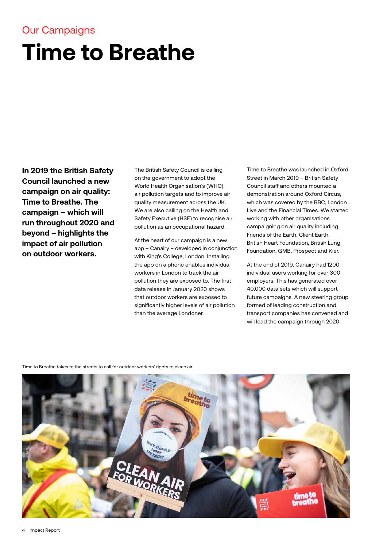## **Time to Breathe**

**In 2019 the British Safety Council launched a new campaign on air quality: Time to Breathe. The campaign – which will run throughout 2020 and beyond – highlights the impact of air pollution on outdoor workers.**

The British Safety Council is calling on the government to adopt the World Health Organisation's (WHO) air pollution targets and to improve air quality measurement across the UK. We are also calling on the Health and Safety Executive (HSE) to recognise air pollution as an occupational hazard.

At the heart of our campaign is a new app – Canairy – developed in conjunction with King's College, London. Installing the app on a phone enables individual workers in London to track the air pollution they are exposed to. The first data release in January 2020 shows that outdoor workers are exposed to significantly higher levels of air pollution than the average Londoner.

Time to Breathe was launched in Oxford Street in March 2019 – British Safety Council staff and others mounted a demonstration around Oxford Circus, which was covered by the BBC, London Live and the Financial Times. We started working with other organisations campaigning on air quality including Friends of the Earth, Client Earth, British Heart Foundation, British Lung Foundation, GMB, Prospect and Kier.

At the end of 2019, Canairy had 1200 individual users working for over 300 employers. This has generated over 40,000 data sets which will support future campaigns. A new steering group formed of leading construction and transport companies has convened and will lead the campaign through 2020.

Time to Breathe takes to the streets to call for outdoor workers' rights to clean air.

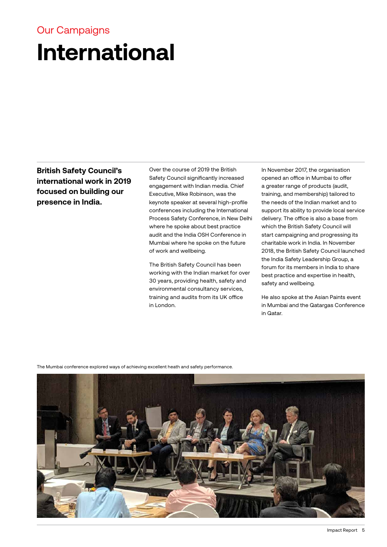#### **International** Our Campaigns

**British Safety Council's international work in 2019 focused on building our presence in India.**

Over the course of 2019 the British Safety Council significantly increased engagement with Indian media. Chief Executive, Mike Robinson, was the keynote speaker at several high-profile conferences including the International Process Safety Conference, in New Delhi where he spoke about best practice audit and the India OSH Conference in Mumbai where he spoke on the future of work and wellbeing.

The British Safety Council has been working with the Indian market for over 30 years, providing health, safety and environmental consultancy services, training and audits from its UK office in London.

In November 2017, the organisation opened an office in Mumbai to offer a greater range of products (audit, training, and membership) tailored to the needs of the Indian market and to support its ability to provide local service delivery. The office is also a base from which the British Safety Council will start campaigning and progressing its charitable work in India. In November 2018, the British Safety Council launched the India Safety Leadership Group, a forum for its members in India to share best practice and expertise in health, safety and wellbeing.

He also spoke at the Asian Paints event in Mumbai and the Qatargas Conference in Qatar.

The Mumbai conference explored ways of achieving excellent heath and safety performance.

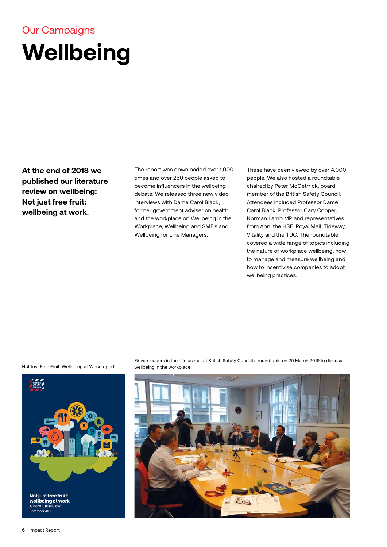## **Wellbeing**

**At the end of 2018 we published our literature review on wellbeing: Not just free fruit: wellbeing at work.**

The report was downloaded over 1,000 times and over 250 people asked to become influencers in the wellbeing debate. We released three new video interviews with Dame Carol Black, former government adviser on health and the workplace on Wellbeing in the Workplace; Wellbeing and SME's and Wellbeing for Line Managers.

These have been viewed by over 4,000 people. We also hosted a roundtable chaired by Peter McGetrrick, board member of the British Safety Council. Attendees included Professor Dame Carol Black, Professor Cary Cooper, Norman Lamb MP and representatives from Aon, the HSE, Royal Mail, Tideway, Vitality and the TUC. The roundtable covered a wide range of topics including the nature of workplace wellbeing, how to manage and measure wellbeing and how to incentivise companies to adopt wellbeing practices.

Not Just Free Fruit: Wellbeing at Work report.



Eleven leaders in their fields met at British Safety Council's roundtable on 20 March 2019 to discuss wellbeing in the workplace.

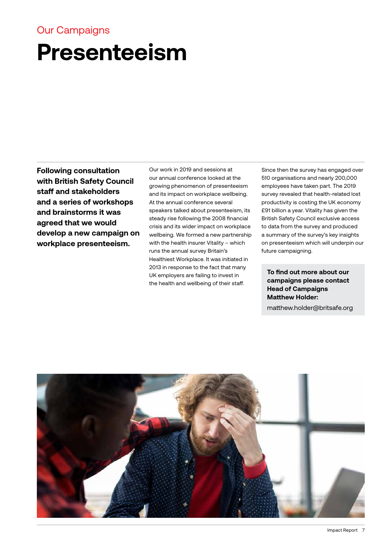### **Presenteeism**

**Following consultation with British Safety Council staff and stakeholders and a series of workshops and brainstorms it was agreed that we would develop a new campaign on workplace presenteeism.** 

Our work in 2019 and sessions at our annual conference looked at the growing phenomenon of presenteeism and its impact on workplace wellbeing. At the annual conference several speakers talked about presenteeism, its steady rise following the 2008 financial crisis and its wider impact on workplace wellbeing. We formed a new partnership with the health insurer Vitality – which runs the annual survey Britain's Healthiest Workplace. It was initiated in 2013 in response to the fact that many UK employers are failing to invest in the health and wellbeing of their staff.

Since then the survey has engaged over 510 organisations and nearly 200,000 employees have taken part. The 2019 survey revealed that health-related lost productivity is costing the UK economy £91 billion a year. Vitality has given the British Safety Council exclusive access to data from the survey and produced a summary of the survey's key insights on presenteeism which will underpin our future campaigning.

**To find out more about our campaigns please contact Head of Campaigns Matthew Holder:**

matthew.holder@britsafe.org

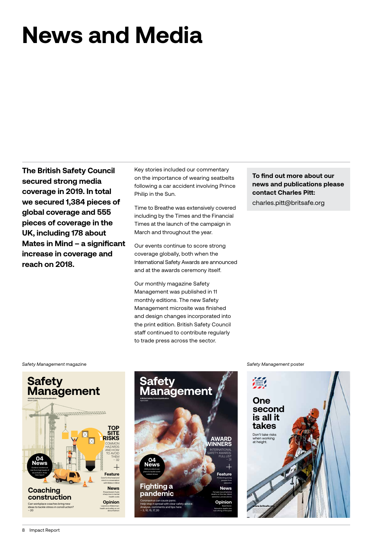## **News and Media**

**The British Safety Council secured strong media coverage in 2019. In total we secured 1,384 pieces of global coverage and 555 pieces of coverage in the UK, including 178 about Mates in Mind – a significant increase in coverage and reach on 2018.**

Key stories included our commentary on the importance of wearing seatbelts following a car accident involving Prince Philip in the Sun.

Time to Breathe was extensively covered including by the Times and the Financial Times at the launch of the campaign in March and throughout the year.

Our events continue to score strong coverage globally, both when the International Safety Awards are announced and at the awards ceremony itself.

Our monthly magazine Safety Management was published in 11 monthly editions. The new Safety Management microsite was finished and design changes incorporated into the print edition. British Safety Council staff continued to contribute regularly to trade press across the sector.

**To find out more about our news and publications please contact Charles Pitt:**

charles.pitt@britsafe.org





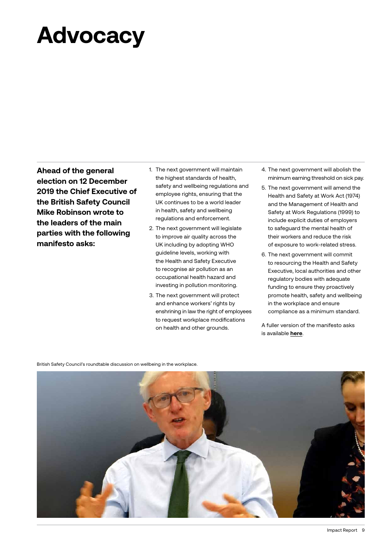## **Advocacy**

**Ahead of the general election on 12 December 2019 the Chief Executive of the British Safety Council Mike Robinson wrote to the leaders of the main parties with the following manifesto asks:** 

- 1. The next government will maintain the highest standards of health, safety and wellbeing regulations and employee rights, ensuring that the UK continues to be a world leader in health, safety and wellbeing regulations and enforcement.
- 2. The next government will legislate to improve air quality across the UK including by adopting WHO guideline levels, working with the Health and Safety Executive to recognise air pollution as an occupational health hazard and investing in pollution monitoring.
- 3. The next government will protect and enhance workers' rights by enshrining in law the right of employees to request workplace modifications on health and other grounds.
- 4. The next government will abolish the minimum earning threshold on sick pay.
- 5. The next government will amend the Health and Safety at Work Act (1974) and the Management of Health and Safety at Work Regulations (1999) to include explicit duties of employers to safeguard the mental health of their workers and reduce the risk of exposure to work-related stress.
- 6. The next government will commit to resourcing the Health and Safety Executive, local authorities and other regulatory bodies with adequate funding to ensure they proactively promote health, safety and wellbeing in the workplace and ensure compliance as a minimum standard.

A fuller version of the manifesto asks is available **[here](http://online.anyflip.com/siii/exmi/mobile/index.html)**.

British Safety Council's roundtable discussion on wellbeing in the workplace.

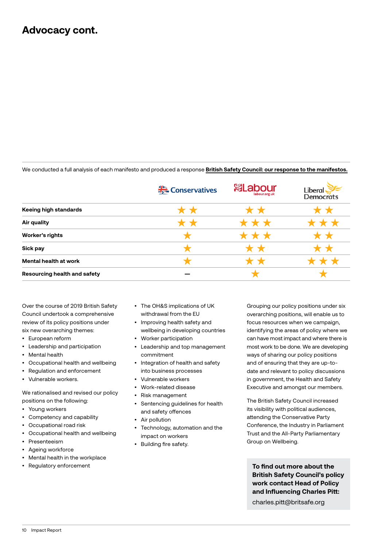#### **Advocacy cont.**

We conducted a full analysis of each manifesto and produced a response **[British Safety Council: our response to the manifestos.](https://www.britsafe.org/media/7231/bsc-response-to-the-manifestos-november-2019.pdf)**

|                                     | Conservatives | <b><sup>刻</sup>Labour</b><br>labour.org.uk | Liberal<br>Democrats |
|-------------------------------------|---------------|--------------------------------------------|----------------------|
| Keeing high standards               | * *           |                                            |                      |
| Air quality                         |               | * * *                                      |                      |
| Worker's rights                     |               | ***                                        |                      |
| Sick pay                            |               |                                            |                      |
| Mental health at work               |               |                                            |                      |
| <b>Resourcing health and safety</b> |               |                                            |                      |

Over the course of 2019 British Safety Council undertook a comprehensive review of its policy positions under six new overarching themes:

- European reform
- Leadership and participation
- Mental health
- Occupational health and wellbeing
- Regulation and enforcement
- Vulnerable workers.

We rationalised and revised our policy positions on the following:

- Young workers
- Competency and capability
- Occupational road risk
- Occupational health and wellbeing
- Presenteeism
- Ageing workforce
- Mental health in the workplace
- Regulatory enforcement
- The OH&S implications of UK withdrawal from the EU
- Improving health safety and wellbeing in developing countries
- Worker participation
- Leadership and top management commitment
- Integration of health and safety into business processes
- Vulnerable workers
- Work-related disease
- Risk management
- Sentencing guidelines for health and safety offences
- Air pollution
- Technology, automation and the impact on workers
- Building fire safety.

Grouping our policy positions under six overarching positions, will enable us to focus resources when we campaign, identifying the areas of policy where we can have most impact and where there is most work to be done. We are developing ways of sharing our policy positions and of ensuring that they are up-todate and relevant to policy discussions in government, the Health and Safety Executive and amongst our members.

The British Safety Council increased its visibility with political audiences, attending the Conservative Party Conference, the Industry in Parliament Trust and the All-Party Parliamentary Group on Wellbeing.

**To find out more about the British Safety Council's policy work contact Head of Policy and Influencing Charles Pitt:**

charles.pitt@britsafe.org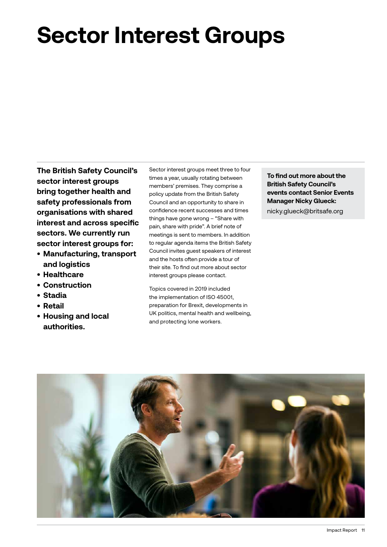## **Sector Interest Groups**

**The British Safety Council's sector interest groups bring together health and safety professionals from organisations with shared interest and across specific sectors. We currently run sector interest groups for:** 

- **• Manufacturing, transport and logistics**
- **• Healthcare**
- **• Construction**
- **• Stadia**
- **• Retail**
- **• Housing and local authorities.**

Sector interest groups meet three to four times a year, usually rotating between members' premises. They comprise a policy update from the British Safety Council and an opportunity to share in confidence recent successes and times things have gone wrong – "Share with pain, share with pride". A brief note of meetings is sent to members. In addition to regular agenda items the British Safety Council invites guest speakers of interest and the hosts often provide a tour of their site. To find out more about sector interest groups please contact.

Topics covered in 2019 included the implementation of ISO 45001, preparation for Brexit, developments in UK politics, mental health and wellbeing, and protecting lone workers.

**To find out more about the British Safety Council's events contact Senior Events Manager Nicky Glueck:**

nicky.glueck@britsafe.org

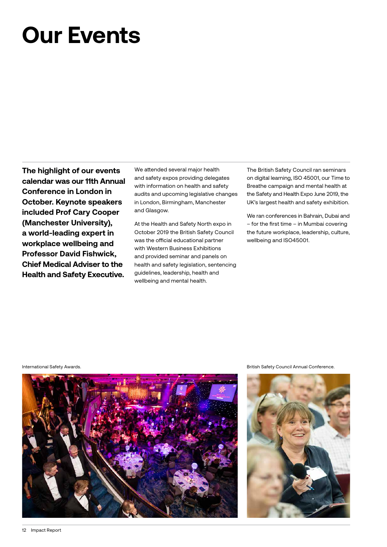## **Our Events**

**The highlight of our events calendar was our 11th Annual Conference in London in October. Keynote speakers included Prof Cary Cooper (Manchester University), a world-leading expert in workplace wellbeing and Professor David Fishwick, Chief Medical Adviser to the Health and Safety Executive.** 

We attended several major health and safety expos providing delegates with information on health and safety audits and upcoming legislative changes in London, Birmingham, Manchester and Glasgow.

At the Health and Safety North expo in October 2019 the British Safety Council was the official educational partner with Western Business Exhibitions and provided seminar and panels on health and safety legislation, sentencing guidelines, leadership, health and wellbeing and mental health.

The British Safety Council ran seminars on digital learning, ISO 45001, our Time to Breathe campaign and mental health at the Safety and Health Expo June 2019, the UK's largest health and safety exhibition.

We ran conferences in Bahrain, Dubai and – for the first time – in Mumbai covering the future workplace, leadership, culture, wellbeing and ISO45001.



International Safety Awards. British Safety Council Annual Conference.

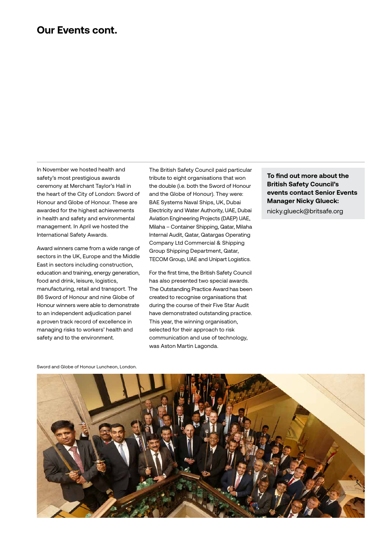#### **Our Events cont.**

In November we hosted health and safety's most prestigious awards ceremony at Merchant Taylor's Hall in the heart of the City of London: Sword of Honour and Globe of Honour. These are awarded for the highest achievements in health and safety and environmental management. In April we hosted the International Safety Awards.

Award winners came from a wide range of sectors in the UK, Europe and the Middle East in sectors including construction, education and training, energy generation, food and drink, leisure, logistics, manufacturing, retail and transport. The 86 Sword of Honour and nine Globe of Honour winners were able to demonstrate to an independent adjudication panel a proven track record of excellence in managing risks to workers' health and safety and to the environment.

The British Safety Council paid particular tribute to eight organisations that won the double (i.e. both the Sword of Honour and the Globe of Honour). They were: BAE Systems Naval Ships, UK, Dubai Electricity and Water Authority, UAE, Dubai Aviation Engineering Projects (DAEP) UAE, Milaha – Container Shipping, Qatar, Milaha Internal Audit, Qatar, Qatargas Operating Company Ltd Commercial & Shipping Group Shipping Department, Qatar, TECOM Group, UAE and Unipart Logistics.

For the first time, the British Safety Council has also presented two special awards. The Outstanding Practice Award has been created to recognise organisations that during the course of their Five Star Audit have demonstrated outstanding practice. This year, the winning organisation, selected for their approach to risk communication and use of technology, was Aston Martin Lagonda.

**To find out more about the British Safety Council's events contact Senior Events Manager Nicky Glueck:**

nicky.glueck@britsafe.org

Sword and Globe of Honour Luncheon, London.